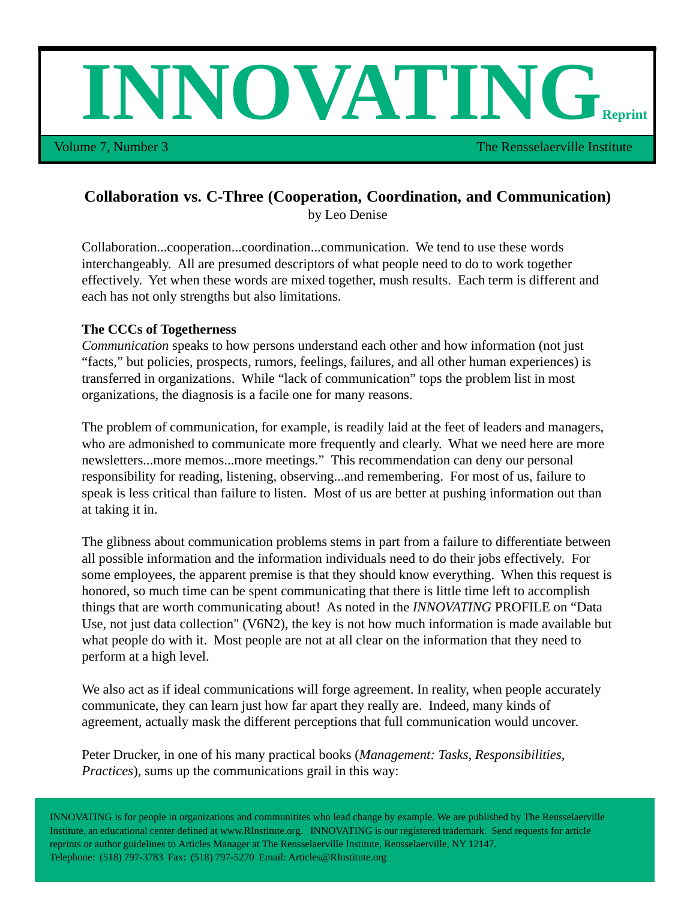**INNOVATING** 

Volume 7, Number 3 The Rensselaerville Institute Institute

# **Collaboration vs. C-Three (Cooperation, Coordination, and Communication)**

by Leo Denise

Collaboration...cooperation...coordination...communication. We tend to use these words interchangeably. All are presumed descriptors of what people need to do to work together effectively. Yet when these words are mixed together, mush results. Each term is different and each has not only strengths but also limitations.

### **The CCCs of Togetherness**

*Communication* speaks to how persons understand each other and how information (not just "facts," but policies, prospects, rumors, feelings, failures, and all other human experiences) is transferred in organizations. While "lack of communication" tops the problem list in most organizations, the diagnosis is a facile one for many reasons.

The problem of communication, for example, is readily laid at the feet of leaders and managers, who are admonished to communicate more frequently and clearly. What we need here are more newsletters...more memos...more meetings." This recommendation can deny our personal responsibility for reading, listening, observing...and remembering. For most of us, failure to speak is less critical than failure to listen. Most of us are better at pushing information out than at taking it in.

The glibness about communication problems stems in part from a failure to differentiate between all possible information and the information individuals need to do their jobs effectively. For some employees, the apparent premise is that they should know everything. When this request is honored, so much time can be spent communicating that there is little time left to accomplish things that are worth communicating about! As noted in the *INNOVATING* PROFILE on "Data Use, not just data collection" (V6N2), the key is not how much information is made available but what people do with it. Most people are not at all clear on the information that they need to perform at a high level.

We also act as if ideal communications will forge agreement. In reality, when people accurately communicate, they can learn just how far apart they really are. Indeed, many kinds of agreement, actually mask the different perceptions that full communication would uncover.

Peter Drucker, in one of his many practical books (*Management: Tasks, Responsibilities, Practices*), sums up the communications grail in this way:

INNOVATING is for people in organizations and communitites who lead change by example. We are published by The Rensselaerville Institute, an educational center defined at www.RInstitute.org. INNOVATING is our registered trademark. Send requests for article reprints or author guidelines to Articles Manager at The Rensselaerville Institute, Rensselaerville, NY 12147. Telephone: (518) 797-3783 Fax: (518) 797-5270 Email: Articles@RInstitute.org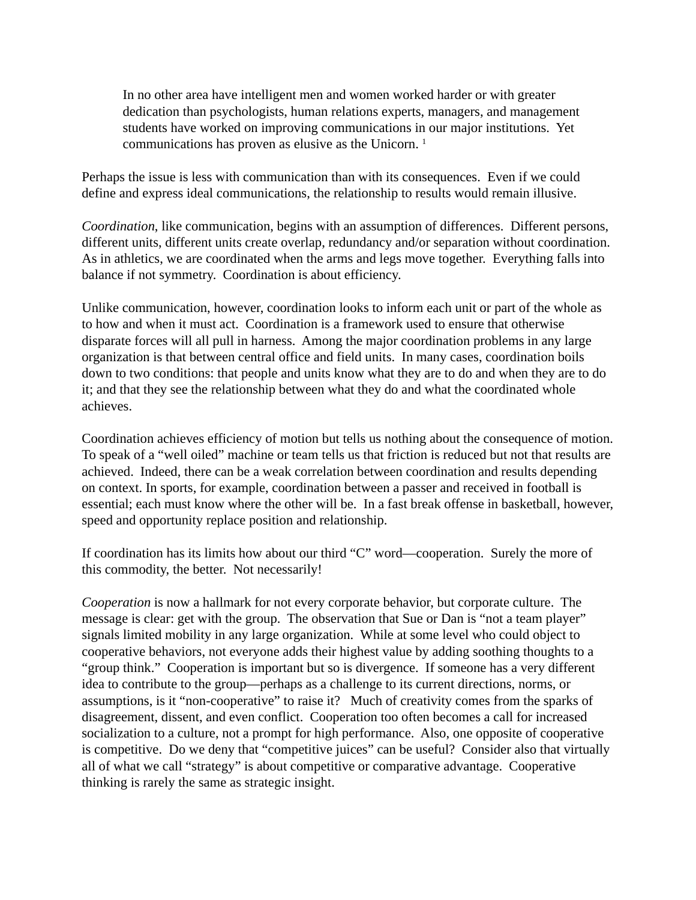In no other area have intelligent men and women worked harder or with greater dedication than psychologists, human relations experts, managers, and management students have worked on improving communications in our major institutions. Yet communications has proven as elusive as the Unicorn. 1

Perhaps the issue is less with communication than with its consequences. Even if we could define and express ideal communications, the relationship to results would remain illusive.

*Coordination*, like communication, begins with an assumption of differences. Different persons, different units, different units create overlap, redundancy and/or separation without coordination. As in athletics, we are coordinated when the arms and legs move together. Everything falls into balance if not symmetry. Coordination is about efficiency.

Unlike communication, however, coordination looks to inform each unit or part of the whole as to how and when it must act. Coordination is a framework used to ensure that otherwise disparate forces will all pull in harness. Among the major coordination problems in any large organization is that between central office and field units. In many cases, coordination boils down to two conditions: that people and units know what they are to do and when they are to do it; and that they see the relationship between what they do and what the coordinated whole achieves.

Coordination achieves efficiency of motion but tells us nothing about the consequence of motion. To speak of a "well oiled" machine or team tells us that friction is reduced but not that results are achieved. Indeed, there can be a weak correlation between coordination and results depending on context. In sports, for example, coordination between a passer and received in football is essential; each must know where the other will be. In a fast break offense in basketball, however, speed and opportunity replace position and relationship.

If coordination has its limits how about our third "C" word—cooperation. Surely the more of this commodity, the better. Not necessarily!

*Cooperation* is now a hallmark for not every corporate behavior, but corporate culture. The message is clear: get with the group. The observation that Sue or Dan is "not a team player" signals limited mobility in any large organization. While at some level who could object to cooperative behaviors, not everyone adds their highest value by adding soothing thoughts to a "group think." Cooperation is important but so is divergence. If someone has a very different idea to contribute to the group—perhaps as a challenge to its current directions, norms, or assumptions, is it "non-cooperative" to raise it? Much of creativity comes from the sparks of disagreement, dissent, and even conflict. Cooperation too often becomes a call for increased socialization to a culture, not a prompt for high performance. Also, one opposite of cooperative is competitive. Do we deny that "competitive juices" can be useful? Consider also that virtually all of what we call "strategy" is about competitive or comparative advantage. Cooperative thinking is rarely the same as strategic insight.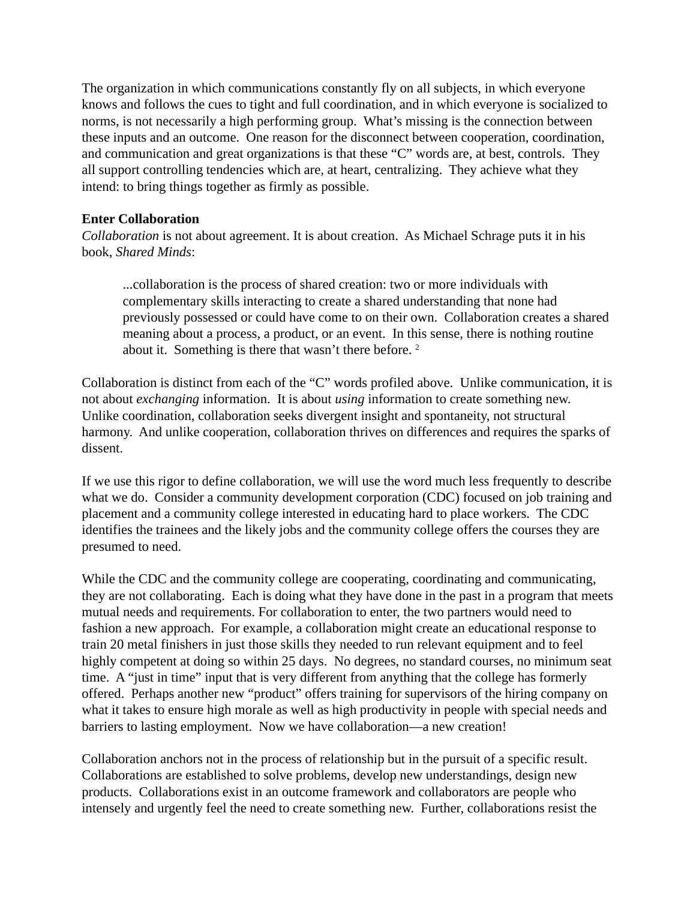The organization in which communications constantly fly on all subjects, in which everyone knows and follows the cues to tight and full coordination, and in which everyone is socialized to norms, is not necessarily a high performing group. What's missing is the connection between these inputs and an outcome. One reason for the disconnect between cooperation, coordination, and communication and great organizations is that these "C" words are, at best, controls. They all support controlling tendencies which are, at heart, centralizing. They achieve what they intend: to bring things together as firmly as possible.

## **Enter Collaboration**

*Collaboration* is not about agreement. It is about creation. As Michael Schrage puts it in his book, *Shared Minds*:

...collaboration is the process of shared creation: two or more individuals with complementary skills interacting to create a shared understanding that none had previously possessed or could have come to on their own. Collaboration creates a shared meaning about a process, a product, or an event. In this sense, there is nothing routine about it. Something is there that wasn't there before.<sup>2</sup>

Collaboration is distinct from each of the "C" words profiled above. Unlike communication, it is not about *exchanging* information. It is about *using* information to create something new. Unlike coordination, collaboration seeks divergent insight and spontaneity, not structural harmony. And unlike cooperation, collaboration thrives on differences and requires the sparks of dissent.

If we use this rigor to define collaboration, we will use the word much less frequently to describe what we do. Consider a community development corporation (CDC) focused on job training and placement and a community college interested in educating hard to place workers. The CDC identifies the trainees and the likely jobs and the community college offers the courses they are presumed to need.

While the CDC and the community college are cooperating, coordinating and communicating, they are not collaborating. Each is doing what they have done in the past in a program that meets mutual needs and requirements. For collaboration to enter, the two partners would need to fashion a new approach. For example, a collaboration might create an educational response to train 20 metal finishers in just those skills they needed to run relevant equipment and to feel highly competent at doing so within 25 days. No degrees, no standard courses, no minimum seat time. A "just in time" input that is very different from anything that the college has formerly offered. Perhaps another new "product" offers training for supervisors of the hiring company on what it takes to ensure high morale as well as high productivity in people with special needs and barriers to lasting employment. Now we have collaboration—a new creation!

Collaboration anchors not in the process of relationship but in the pursuit of a specific result. Collaborations are established to solve problems, develop new understandings, design new products. Collaborations exist in an outcome framework and collaborators are people who intensely and urgently feel the need to create something new. Further, collaborations resist the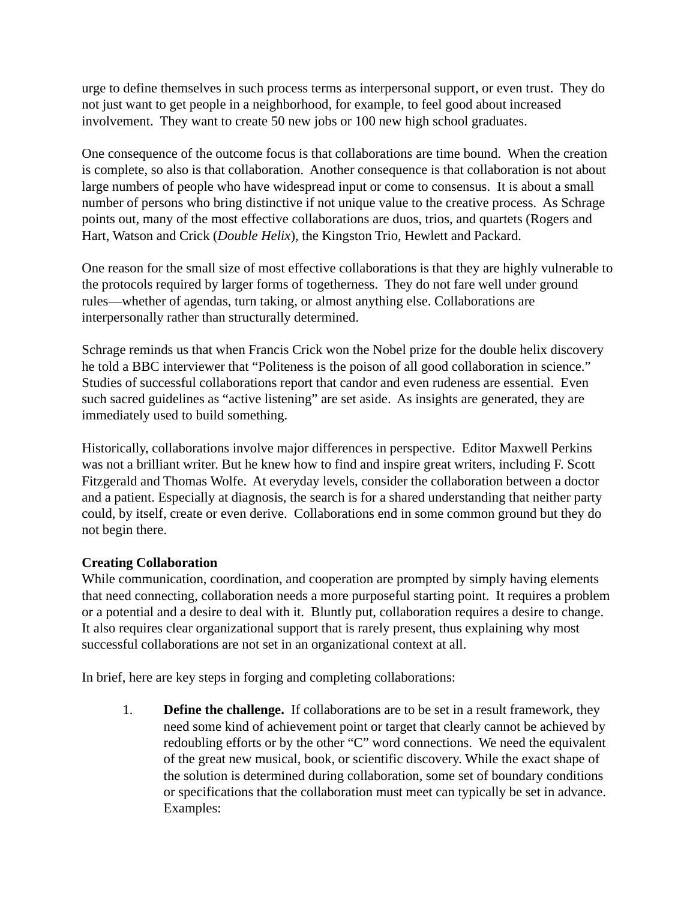urge to define themselves in such process terms as interpersonal support, or even trust. They do not just want to get people in a neighborhood, for example, to feel good about increased involvement. They want to create 50 new jobs or 100 new high school graduates.

One consequence of the outcome focus is that collaborations are time bound. When the creation is complete, so also is that collaboration. Another consequence is that collaboration is not about large numbers of people who have widespread input or come to consensus. It is about a small number of persons who bring distinctive if not unique value to the creative process. As Schrage points out, many of the most effective collaborations are duos, trios, and quartets (Rogers and Hart, Watson and Crick (*Double Helix*), the Kingston Trio, Hewlett and Packard.

One reason for the small size of most effective collaborations is that they are highly vulnerable to the protocols required by larger forms of togetherness. They do not fare well under ground rules—whether of agendas, turn taking, or almost anything else. Collaborations are interpersonally rather than structurally determined.

Schrage reminds us that when Francis Crick won the Nobel prize for the double helix discovery he told a BBC interviewer that "Politeness is the poison of all good collaboration in science." Studies of successful collaborations report that candor and even rudeness are essential. Even such sacred guidelines as "active listening" are set aside. As insights are generated, they are immediately used to build something.

Historically, collaborations involve major differences in perspective. Editor Maxwell Perkins was not a brilliant writer. But he knew how to find and inspire great writers, including F. Scott Fitzgerald and Thomas Wolfe. At everyday levels, consider the collaboration between a doctor and a patient. Especially at diagnosis, the search is for a shared understanding that neither party could, by itself, create or even derive. Collaborations end in some common ground but they do not begin there.

# **Creating Collaboration**

While communication, coordination, and cooperation are prompted by simply having elements that need connecting, collaboration needs a more purposeful starting point. It requires a problem or a potential and a desire to deal with it. Bluntly put, collaboration requires a desire to change. It also requires clear organizational support that is rarely present, thus explaining why most successful collaborations are not set in an organizational context at all.

In brief, here are key steps in forging and completing collaborations:

1. **Define the challenge.** If collaborations are to be set in a result framework, they need some kind of achievement point or target that clearly cannot be achieved by redoubling efforts or by the other "C" word connections. We need the equivalent of the great new musical, book, or scientific discovery. While the exact shape of the solution is determined during collaboration, some set of boundary conditions or specifications that the collaboration must meet can typically be set in advance. Examples: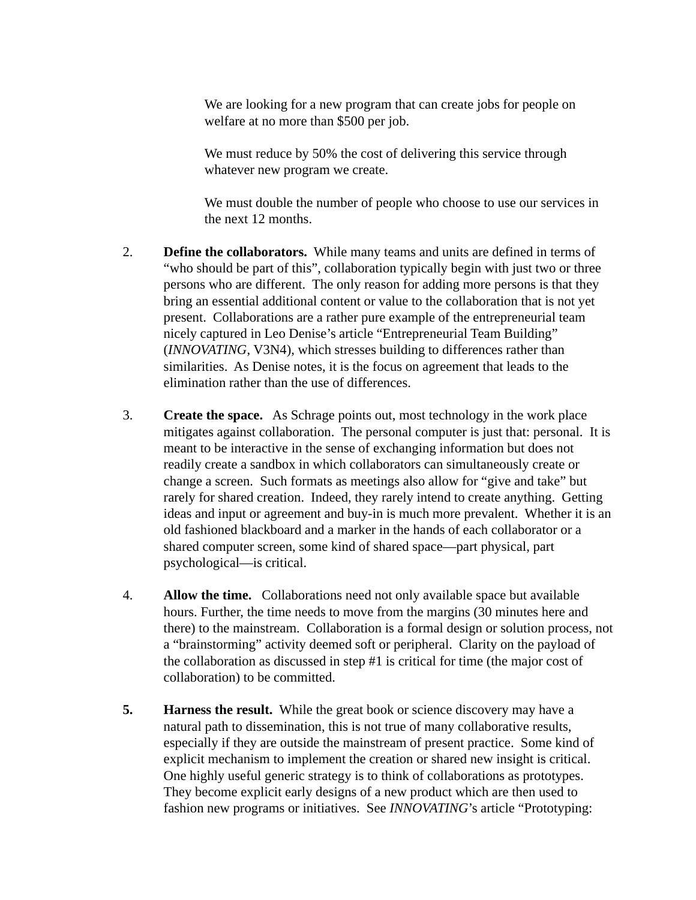We are looking for a new program that can create jobs for people on welfare at no more than \$500 per job.

We must reduce by 50% the cost of delivering this service through whatever new program we create.

We must double the number of people who choose to use our services in the next 12 months.

- 2. **Define the collaborators.** While many teams and units are defined in terms of "who should be part of this", collaboration typically begin with just two or three persons who are different. The only reason for adding more persons is that they bring an essential additional content or value to the collaboration that is not yet present. Collaborations are a rather pure example of the entrepreneurial team nicely captured in Leo Denise's article "Entrepreneurial Team Building" (*INNOVATING*, V3N4), which stresses building to differences rather than similarities. As Denise notes, it is the focus on agreement that leads to the elimination rather than the use of differences.
- 3. **Create the space.** As Schrage points out, most technology in the work place mitigates against collaboration. The personal computer is just that: personal. It is meant to be interactive in the sense of exchanging information but does not readily create a sandbox in which collaborators can simultaneously create or change a screen. Such formats as meetings also allow for "give and take" but rarely for shared creation. Indeed, they rarely intend to create anything. Getting ideas and input or agreement and buy-in is much more prevalent. Whether it is an old fashioned blackboard and a marker in the hands of each collaborator or a shared computer screen, some kind of shared space—part physical, part psychological—is critical.
- 4. **Allow the time.** Collaborations need not only available space but available hours. Further, the time needs to move from the margins (30 minutes here and there) to the mainstream. Collaboration is a formal design or solution process, not a "brainstorming" activity deemed soft or peripheral. Clarity on the payload of the collaboration as discussed in step #1 is critical for time (the major cost of collaboration) to be committed.
- **5. Harness the result.** While the great book or science discovery may have a natural path to dissemination, this is not true of many collaborative results, especially if they are outside the mainstream of present practice. Some kind of explicit mechanism to implement the creation or shared new insight is critical. One highly useful generic strategy is to think of collaborations as prototypes. They become explicit early designs of a new product which are then used to fashion new programs or initiatives. See *INNOVATING*'s article "Prototyping: